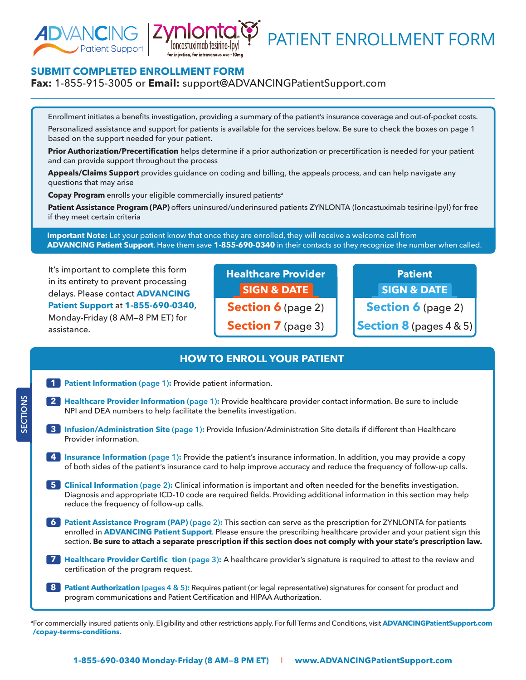

**®**

PATIENT ENROLLMENT FORM

# **SUBMIT COMPLETED ENROLLMENT FORM**

### **Fax:** 1-855-915-3005 or **Email:** [support@ADVANCINGPatientSupport.com](mailto:support@ADVANCINGPatientSupport.com)

Enrollment initiates a benefits investigation, providing a summary of the patient's insurance coverage and out-of-pocket costs. Personalized assistance and support for patients is available for the services below. Be sure to check the boxes on page 1 based on the support needed for your patient.

**Prior Authorization/Precertification** helps determine if a prior authorization or precertification is needed for your patient and can provide support throughout the process

**Appeals/Claims Support** provides guidance on coding and billing, the appeals process, and can help navigate any questions that may arise

**Copay Program** enrolls your eligible commercially insured patients<sup>a</sup>

**Patient Assistance Program (PAP)** offers uninsured/underinsured patients ZYNLONTA (loncastuximab tesirine-lpyl) for free if they meet certain criteria

 **Important Note:** Let your patient know that once they are enrolled, they will receive a welcome call from **ADVANCING Patient Support**. Have them save **1-855-690-0340** in their contacts so they recognize the number when called.

It's important to complete this form in its entirety to prevent processing delays. Please contact **ADVANCING Patient Support** at **1-855-690-0340**, Monday-Friday (8 AM—8 PM ET) for assistance.

**SECTIONS**

SECTIONS

**Healthcare Provider SIGN & DATE Section 6** (page 2) **Section 7** (page 3)

**Patient SIGN & DATE Section 6** (page 2) **Section 8** (pages 4 & 5)

## **HOW TO ENROLL YOUR PATIENT**

|              | Patient Information (page 1): Provide patient information.                                                                                                                                                                                                                                                                                                       |
|--------------|------------------------------------------------------------------------------------------------------------------------------------------------------------------------------------------------------------------------------------------------------------------------------------------------------------------------------------------------------------------|
| $\mathbf{2}$ | Healthcare Provider Information (page 1): Provide healthcare provider contact information. Be sure to include<br>NPI and DEA numbers to help facilitate the benefits investigation.                                                                                                                                                                              |
|              | 3 Infusion/Administration Site (page 1): Provide Infusion/Administration Site details if different than Healthcare<br>Provider information.                                                                                                                                                                                                                      |
| -4           | Insurance Information (page 1): Provide the patient's insurance information. In addition, you may provide a copy<br>of both sides of the patient's insurance card to help improve accuracy and reduce the frequency of follow-up calls.                                                                                                                          |
| 51           | Clinical Information (page 2): Clinical information is important and often needed for the benefits investigation.<br>Diagnosis and appropriate ICD-10 code are required fields. Providing additional information in this section may help<br>reduce the frequency of follow-up calls.                                                                            |
| 6            | Patient Assistance Program (PAP) (page 2): This section can serve as the prescription for ZYNLONTA for patients<br>enrolled in ADVANCING Patient Support. Please ensure the prescribing healthcare provider and your patient sign this<br>section. Be sure to attach a separate prescription if this section does not comply with your state's prescription law. |
| 7            | Healthcare Provider Certific tion (page 3): A healthcare provider's signature is required to attest to the review and<br>certification of the program request.                                                                                                                                                                                                   |
| -8           | Patient Authorization (pages 4 & 5): Requires patient (or legal representative) signatures for consent for product and<br>program communications and Patient Certification and HIPAA Authorization.                                                                                                                                                              |

a For commercially insured patients only. Eligibility and other restrictions apply. For full Terms and Conditions, visit **[ADVANCINGPatientSupport.com](https://www.advancingpatientsupport.com/copay-terms-conditions/) /copay-terms-conditions**.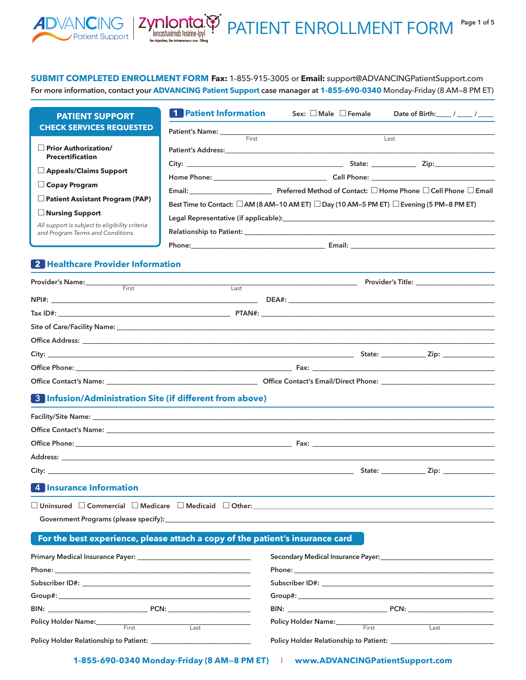### **SUBMIT COMPLETED ENROLLMENT FORM Fax:** 1-855-915-3005 or **Email:** [support@ADVANCINGPatientSupport.com](mailto:support@ADVANCINGPatientSupport.com)

**Example 10 11 12 13 14 14 15 16 17 17 18 17 18 18 19 10 11 10 11 10 11 10 11 10 11 10 11 10 11 10 11 10 11 10 11 10 11 10 11 10 11 10 11 10 11 10 11 10 11 10 11 10 11 10 11 10 11 10 11 10 11 10 11 10 11 10 11 10 11 10 11** 

atient Support |

PATIENT ENROLLMENT FORM Page 1 of 5

**For more information, contact your ADVANCING Patient Support case manager at 1-855-690-0340** Monday-Friday (8 AM—8 PM ET)

| <b>PATIENT SUPPORT</b>                                                                                                                                                                                                        | <b>1</b> Patient Information                                                                                                     | Sex: $\square$ Male $\square$ Female                                                                                                                                                                                                 | Date of Birth: ____ / ____ / ____                                                                                                                                                                                                                                                                                                                           |
|-------------------------------------------------------------------------------------------------------------------------------------------------------------------------------------------------------------------------------|----------------------------------------------------------------------------------------------------------------------------------|--------------------------------------------------------------------------------------------------------------------------------------------------------------------------------------------------------------------------------------|-------------------------------------------------------------------------------------------------------------------------------------------------------------------------------------------------------------------------------------------------------------------------------------------------------------------------------------------------------------|
| <b>CHECK SERVICES REQUESTED</b>                                                                                                                                                                                               |                                                                                                                                  |                                                                                                                                                                                                                                      |                                                                                                                                                                                                                                                                                                                                                             |
| Prior Authorization/                                                                                                                                                                                                          |                                                                                                                                  | Patient's Name: <u>First Electron Community Community Community Community Community Community Community Community Community Community Community Community Community Community Community Community Community Community Community </u> | Last                                                                                                                                                                                                                                                                                                                                                        |
| <b>Precertification</b>                                                                                                                                                                                                       |                                                                                                                                  |                                                                                                                                                                                                                                      |                                                                                                                                                                                                                                                                                                                                                             |
| Appeals/Claims Support                                                                                                                                                                                                        |                                                                                                                                  |                                                                                                                                                                                                                                      |                                                                                                                                                                                                                                                                                                                                                             |
| $\Box$ Copay Program                                                                                                                                                                                                          |                                                                                                                                  |                                                                                                                                                                                                                                      |                                                                                                                                                                                                                                                                                                                                                             |
| Patient Assistant Program (PAP)                                                                                                                                                                                               |                                                                                                                                  |                                                                                                                                                                                                                                      |                                                                                                                                                                                                                                                                                                                                                             |
| $\Box$ Nursing Support                                                                                                                                                                                                        |                                                                                                                                  | Best Time to Contact: □ AM (8 AM-10 AM ET) □ Day (10 AM-5 PM ET) □ Evening (5 PM-8 PM ET)                                                                                                                                            |                                                                                                                                                                                                                                                                                                                                                             |
| All support is subject to eligibility criteria                                                                                                                                                                                |                                                                                                                                  |                                                                                                                                                                                                                                      |                                                                                                                                                                                                                                                                                                                                                             |
| and Program Terms and Conditions.                                                                                                                                                                                             |                                                                                                                                  |                                                                                                                                                                                                                                      |                                                                                                                                                                                                                                                                                                                                                             |
|                                                                                                                                                                                                                               |                                                                                                                                  |                                                                                                                                                                                                                                      |                                                                                                                                                                                                                                                                                                                                                             |
| 2 Healthcare Provider Information                                                                                                                                                                                             |                                                                                                                                  |                                                                                                                                                                                                                                      |                                                                                                                                                                                                                                                                                                                                                             |
| Provider's Name: First                                                                                                                                                                                                        |                                                                                                                                  |                                                                                                                                                                                                                                      | Provider's Title: The contract of the contract of the contract of the contract of the contract of the contract o                                                                                                                                                                                                                                            |
|                                                                                                                                                                                                                               |                                                                                                                                  |                                                                                                                                                                                                                                      |                                                                                                                                                                                                                                                                                                                                                             |
|                                                                                                                                                                                                                               |                                                                                                                                  |                                                                                                                                                                                                                                      |                                                                                                                                                                                                                                                                                                                                                             |
|                                                                                                                                                                                                                               |                                                                                                                                  |                                                                                                                                                                                                                                      |                                                                                                                                                                                                                                                                                                                                                             |
|                                                                                                                                                                                                                               |                                                                                                                                  |                                                                                                                                                                                                                                      |                                                                                                                                                                                                                                                                                                                                                             |
|                                                                                                                                                                                                                               |                                                                                                                                  |                                                                                                                                                                                                                                      |                                                                                                                                                                                                                                                                                                                                                             |
|                                                                                                                                                                                                                               |                                                                                                                                  |                                                                                                                                                                                                                                      |                                                                                                                                                                                                                                                                                                                                                             |
| Office Contact's Name: Cambridge Contact's Email/Direct Phone: Contact's Email/Direct Phone:                                                                                                                                  |                                                                                                                                  |                                                                                                                                                                                                                                      |                                                                                                                                                                                                                                                                                                                                                             |
| 8 Infusion/Administration Site (if different from above)                                                                                                                                                                      |                                                                                                                                  |                                                                                                                                                                                                                                      |                                                                                                                                                                                                                                                                                                                                                             |
|                                                                                                                                                                                                                               |                                                                                                                                  |                                                                                                                                                                                                                                      |                                                                                                                                                                                                                                                                                                                                                             |
|                                                                                                                                                                                                                               |                                                                                                                                  |                                                                                                                                                                                                                                      |                                                                                                                                                                                                                                                                                                                                                             |
|                                                                                                                                                                                                                               |                                                                                                                                  |                                                                                                                                                                                                                                      |                                                                                                                                                                                                                                                                                                                                                             |
|                                                                                                                                                                                                                               |                                                                                                                                  |                                                                                                                                                                                                                                      |                                                                                                                                                                                                                                                                                                                                                             |
|                                                                                                                                                                                                                               |                                                                                                                                  |                                                                                                                                                                                                                                      |                                                                                                                                                                                                                                                                                                                                                             |
|                                                                                                                                                                                                                               |                                                                                                                                  |                                                                                                                                                                                                                                      |                                                                                                                                                                                                                                                                                                                                                             |
| 4 Insurance Information                                                                                                                                                                                                       |                                                                                                                                  |                                                                                                                                                                                                                                      |                                                                                                                                                                                                                                                                                                                                                             |
| $\Box$ Uninsured $\quad \Box$ Commercial $\quad \Box$ Medicare $\quad \Box$ Medicaid $\quad \Box$ Other:                                                                                                                      |                                                                                                                                  |                                                                                                                                                                                                                                      |                                                                                                                                                                                                                                                                                                                                                             |
| Government Programs (please specify): Notice and the set of the set of the set of the set of the set of the set of the set of the set of the set of the set of the set of the set of the set of the set of the set of the set |                                                                                                                                  |                                                                                                                                                                                                                                      |                                                                                                                                                                                                                                                                                                                                                             |
| For the best experience, please attach a copy of the patient's insurance card                                                                                                                                                 |                                                                                                                                  |                                                                                                                                                                                                                                      |                                                                                                                                                                                                                                                                                                                                                             |
|                                                                                                                                                                                                                               |                                                                                                                                  |                                                                                                                                                                                                                                      |                                                                                                                                                                                                                                                                                                                                                             |
| <b>Primary Medical Insurance Payer:</b> North Management of the Medical Insurance Payer:                                                                                                                                      |                                                                                                                                  |                                                                                                                                                                                                                                      | Secondary Medical Insurance Payer: New York Secondary Medical Insurance Payer:                                                                                                                                                                                                                                                                              |
|                                                                                                                                                                                                                               |                                                                                                                                  |                                                                                                                                                                                                                                      |                                                                                                                                                                                                                                                                                                                                                             |
|                                                                                                                                                                                                                               |                                                                                                                                  |                                                                                                                                                                                                                                      |                                                                                                                                                                                                                                                                                                                                                             |
|                                                                                                                                                                                                                               |                                                                                                                                  |                                                                                                                                                                                                                                      |                                                                                                                                                                                                                                                                                                                                                             |
|                                                                                                                                                                                                                               | $\begin{tabular}{ c c } \hline \multicolumn{1}{ c }{\textbf{Last}} & \multicolumn{1}{ c }{\textbf{Last}}\\ \hline \end{tabular}$ | Policy Holder Name:<br>First                                                                                                                                                                                                         | $\begin{tabular}{ c c } \hline \rule{0.3cm}{.04cm} \rule{0.3cm}{.04cm} \rule{0.3cm}{.04cm} \rule{0.3cm}{.04cm} \rule{0.3cm}{.04cm} \rule{0.3cm}{.04cm} \rule{0.3cm}{.04cm} \rule{0.3cm}{.04cm} \rule{0.3cm}{.04cm} \rule{0.3cm}{.04cm} \rule{0.3cm}{.04cm} \rule{0.3cm}{.04cm} \rule{0.3cm}{.04cm} \rule{0.3cm}{.04cm} \rule{0.3cm}{.04cm} \rule{0.3cm}{.0$ |
| Policy Holder Name:<br>First                                                                                                                                                                                                  |                                                                                                                                  |                                                                                                                                                                                                                                      |                                                                                                                                                                                                                                                                                                                                                             |
| Policy Holder Relationship to Patient: ______________                                                                                                                                                                         |                                                                                                                                  | Policy Holder Relationship to Patient: _______________                                                                                                                                                                               |                                                                                                                                                                                                                                                                                                                                                             |

**1-855-690-0340 Monday-Friday (8 AM—8 PM ET)** I **[www.ADVANCINGPatientSupport.com](https://www.advancingpatientsupport.com)**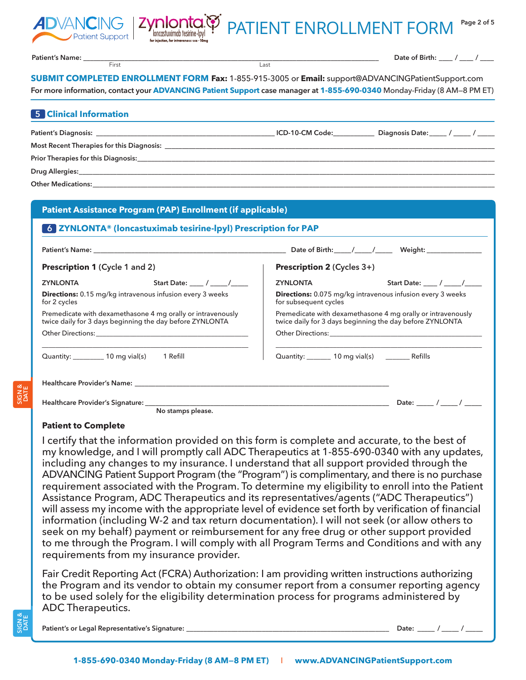



**Patient's Name: \_\_\_\_\_\_\_\_\_\_\_\_\_\_\_\_\_\_\_\_\_\_\_\_\_\_\_\_\_\_\_\_\_\_\_\_\_\_\_\_\_\_\_\_\_\_\_\_\_\_\_\_\_\_\_\_\_\_\_\_\_\_\_\_\_\_\_\_\_\_\_\_\_\_\_\_\_\_\_\_\_\_\_\_\_\_**

**Date of Birth: \_\_\_\_ / \_\_\_\_ / \_\_\_\_**

**SUBMIT COMPLETED ENROLLMENT FORM Fax:** 1-855-915-3005 or **Email:** [support@ADVANCINGPatientSupport.com](mailto:support@ADVANCINGPatientSupport.com) **For more information, contact your ADVANCING Patient Support case manager at 1-855-690-0340** Monday-Friday (8 AM—8 PM ET)

First Last

**®**

| <b>5 Clinical Information</b>                                                                                                                                                                                                  |                 |                                 |  |  |  |  |  |  |
|--------------------------------------------------------------------------------------------------------------------------------------------------------------------------------------------------------------------------------|-----------------|---------------------------------|--|--|--|--|--|--|
| Patient's Diagnosis: Note of the Second Second Second Second Second Second Second Second Second Second Second Second Second Second Second Second Second Second Second Second Second Second Second Second Second Second Second  | ICD-10-CM Code: | Diagnosis Date: / ____ / ____ / |  |  |  |  |  |  |
| Most Recent Therapies for this Diagnosis: New York School and School and School and School and School and School and School and School and School and School and School and School and School and School and School and School |                 |                                 |  |  |  |  |  |  |
| Prior Therapies for this Diagnosis: Department of the contract of the contract of the contract of the contract of the contract of the contract of the contract of the contract of the contract of the contract of the contract |                 |                                 |  |  |  |  |  |  |
|                                                                                                                                                                                                                                |                 |                                 |  |  |  |  |  |  |
|                                                                                                                                                                                                                                |                 |                                 |  |  |  |  |  |  |
|                                                                                                                                                                                                                                |                 |                                 |  |  |  |  |  |  |

| <b>Patient Assistance Program (PAP) Enrollment (if applicable)</b>                                                                                                                                                             |                                                                                                                                                                                                                                |  |  |  |  |  |  |
|--------------------------------------------------------------------------------------------------------------------------------------------------------------------------------------------------------------------------------|--------------------------------------------------------------------------------------------------------------------------------------------------------------------------------------------------------------------------------|--|--|--|--|--|--|
| 6 ZYNLONTA® (loncastuximab tesirine-lpyl) Prescription for PAP                                                                                                                                                                 |                                                                                                                                                                                                                                |  |  |  |  |  |  |
|                                                                                                                                                                                                                                |                                                                                                                                                                                                                                |  |  |  |  |  |  |
| <b>Prescription 1 (Cycle 1 and 2)</b>                                                                                                                                                                                          | <b>Prescription 2 (Cycles 3+)</b>                                                                                                                                                                                              |  |  |  |  |  |  |
| Start Date: ____ / ____ /_____<br><b>ZYNLONTA</b>                                                                                                                                                                              | Start Date: $\sqrt{2\pi}$<br>ZYNLONTA EXECUTIVE STATES AND THE STATES OF THE STATES OF THE STATES OF THE STATES OF THE STATES OF THE STATES                                                                                    |  |  |  |  |  |  |
| Directions: 0.15 mg/kg intravenous infusion every 3 weeks<br>for 2 cycles                                                                                                                                                      | <b>Directions:</b> 0.075 mg/kg intravenous infusion every 3 weeks<br>for subsequent cycles                                                                                                                                     |  |  |  |  |  |  |
| Premedicate with dexamethasone 4 mg orally or intravenously<br>twice daily for 3 days beginning the day before ZYNLONTA                                                                                                        | Premedicate with dexamethasone 4 mg orally or intravenously<br>twice daily for 3 days beginning the day before ZYNLONTA                                                                                                        |  |  |  |  |  |  |
| Other Directions: the contract of the contract of the contract of the contract of the contract of the contract of the contract of the contract of the contract of the contract of the contract of the contract of the contract | Other Directions: The contract of the contract of the contract of the contract of the contract of the contract of the contract of the contract of the contract of the contract of the contract of the contract of the contract |  |  |  |  |  |  |
| Quantity: 10 mg vial(s) 1 Refill                                                                                                                                                                                               | Quantity: 10 mg vial(s) _______ Refills                                                                                                                                                                                        |  |  |  |  |  |  |
|                                                                                                                                                                                                                                |                                                                                                                                                                                                                                |  |  |  |  |  |  |
| Healthcare Provider's Signature: ______________                                                                                                                                                                                |                                                                                                                                                                                                                                |  |  |  |  |  |  |
| No stamps please.                                                                                                                                                                                                              |                                                                                                                                                                                                                                |  |  |  |  |  |  |

#### **Patient to Complete**

I certify that the information provided on this form is complete and accurate, to the best of my knowledge, and I will promptly call ADC Therapeutics at 1-855-690-0340 with any updates, including any changes to my insurance. I understand that all support provided through the ADVANCING Patient Support Program (the "Program") is complimentary, and there is no purchase requirement associated with the Program. To determine my eligibility to enroll into the Patient Assistance Program, ADC Therapeutics and its representatives/agents ("ADC Therapeutics") will assess my income with the appropriate level of evidence set forth by verification of financial information (including W-2 and tax return documentation). I will not seek (or allow others to seek on my behalf) payment or reimbursement for any free drug or other support provided to me through the Program. I will comply with all Program Terms and Conditions and with any requirements from my insurance provider.

Fair Credit Reporting Act (FCRA) Authorization: I am providing written instructions authorizing the Program and its vendor to obtain my consumer report from a consumer reporting agency to be used solely for the eligibility determination process for programs administered by ADC Therapeutics.

**Patient's or Legal Representative's Signature: \_\_\_\_\_\_\_\_\_\_\_\_\_\_\_\_\_\_\_\_\_\_\_\_\_\_\_\_\_\_\_\_\_\_\_\_\_\_\_\_\_\_\_\_\_\_\_\_\_\_\_\_\_\_\_\_\_\_\_ Date: \_\_\_\_\_ / \_\_\_\_\_ / \_\_\_\_\_**

**SIGN & DATE**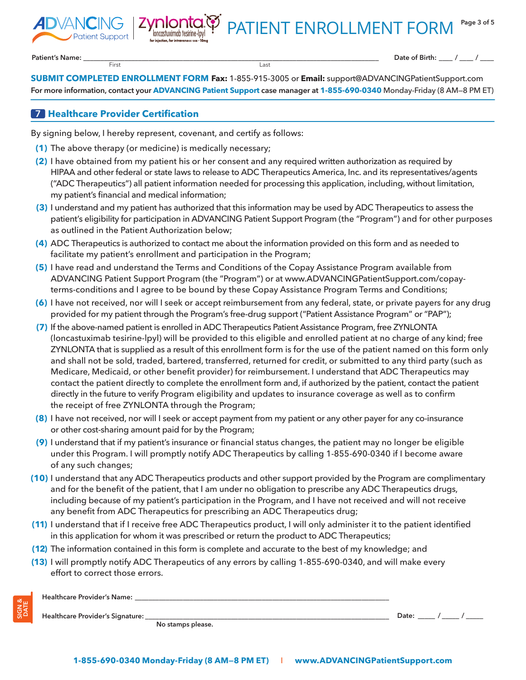PATIENT ENROLLMENT FORM

**Patient's Name: \_\_\_\_\_\_\_\_\_\_\_\_\_\_\_\_\_\_\_\_\_\_\_\_\_\_\_\_\_\_\_\_\_\_\_\_\_\_\_\_\_\_\_\_\_\_\_\_\_\_\_\_\_\_\_\_\_\_\_\_\_\_\_\_\_\_\_\_\_\_\_\_\_\_\_\_\_\_\_\_\_\_\_\_\_\_**

**SIGN & DATE** First Last

**Date of Birth: \_\_\_\_ / \_\_\_\_ / \_\_\_\_**

**SUBMIT COMPLETED ENROLLMENT FORM Fax:** 1-855-915-3005 or **Email:** [support@ADVANCINGPatientSupport.com](mailto:support@ADVANCINGPatientSupport.com) **For more information, contact your ADVANCING Patient Support case manager at 1-855-690-0340** Monday-Friday (8 AM—8 PM ET)

#### **7 Healthcare Provider Certification**

By signing below, I hereby represent, covenant, and certify as follows:

**nlonta**<br>Ioncastuximab tesirine-lpy

- **(1)** The above therapy (or medicine) is medically necessary;
- **(2)** I have obtained from my patient his or her consent and any required written authorization as required by HIPAA and other federal or state laws to release to ADC Therapeutics America, Inc. and its representatives/agents ("ADC Therapeutics") all patient information needed for processing this application, including, without limitation, my patient's financial and medical information;
- **(3)** I understand and my patient has authorized that this information may be used by ADC Therapeutics to assess the patient's eligibility for participation in ADVANCING Patient Support Program (the "Program") and for other purposes as outlined in the Patient Authorization below;
- **(4)** ADC Therapeutics is authorized to contact me about the information provided on this form and as needed to facilitate my patient's enrollment and participation in the Program;
- **(5)** I have read and understand the Terms and Conditions of the Copay Assistance Program available from ADVANCING Patient Support Program (the "Program") or at www.ADVANCINGPatientSupport.com/copayterms-conditions and I agree to be bound by these Copay Assistance Program Terms and Conditions;
- **(6)** I have not received, nor will I seek or accept reimbursement from any federal, state, or private payers for any drug provided for my patient through the Program's free-drug support ("Patient Assistance Program" or "PAP");
- **(7)** If the above-named patient is enrolled in ADC Therapeutics Patient Assistance Program, free ZYNLONTA (loncastuximab tesirine-lpyl) will be provided to this eligible and enrolled patient at no charge of any kind; free ZYNLONTA that is supplied as a result of this enrollment form is for the use of the patient named on this form only and shall not be sold, traded, bartered, transferred, returned for credit, or submitted to any third party (such as Medicare, Medicaid, or other benefit provider) for reimbursement. I understand that ADC Therapeutics may contact the patient directly to complete the enrollment form and, if authorized by the patient, contact the patient directly in the future to verify Program eligibility and updates to insurance coverage as well as to confirm the receipt of free ZYNLONTA through the Program;
- **(8)** I have not received, nor will I seek or accept payment from my patient or any other payer for any co-insurance or other cost-sharing amount paid for by the Program;
- **(9)** I understand that if my patient's insurance or financial status changes, the patient may no longer be eligible under this Program. I will promptly notify ADC Therapeutics by calling 1-855-690-0340 if I become aware of any such changes;
- **(10)** I understand that any ADC Therapeutics products and other support provided by the Program are complimentary and for the benefit of the patient, that I am under no obligation to prescribe any ADC Therapeutics drugs, including because of my patient's participation in the Program, and I have not received and will not receive any benefit from ADC Therapeutics for prescribing an ADC Therapeutics drug;
- **(11)** I understand that if I receive free ADC Therapeutics product, I will only administer it to the patient identified in this application for whom it was prescribed or return the product to ADC Therapeutics;
- **(12)** The information contained in this form is complete and accurate to the best of my knowledge; and
- **(13)** I will promptly notify ADC Therapeutics of any errors by calling 1-855-690-0340, and will make every effort to correct those errors.

| <b>Healthcare Provider's Name:</b> |                   |       |  |
|------------------------------------|-------------------|-------|--|
| Healthcare Provider's Signature:   |                   | Date. |  |
|                                    | No stamps please. |       |  |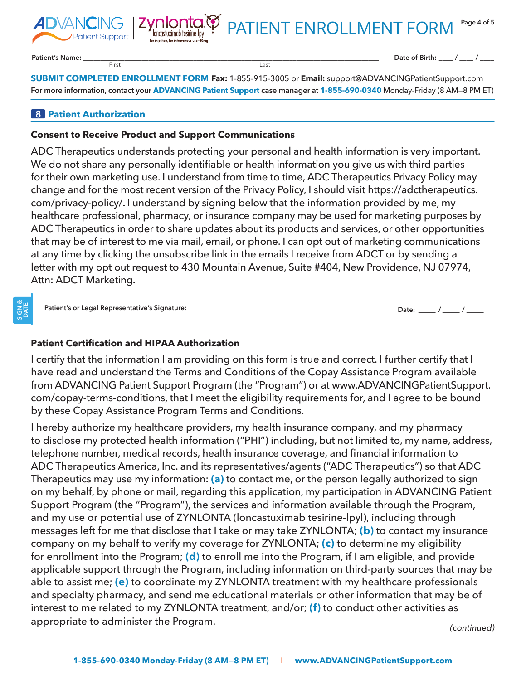

**Page 4 of 5** PATIENT ENROLLMENT FORM

**Patient's Name: \_\_\_\_\_\_\_\_\_\_\_\_\_\_\_\_\_\_\_\_\_\_\_\_\_\_\_\_\_\_\_\_\_\_\_\_\_\_\_\_\_\_\_\_\_\_\_\_\_\_\_\_\_\_\_\_\_\_\_\_\_\_\_\_\_\_\_\_\_\_\_\_\_\_\_\_\_\_\_\_\_\_\_\_\_\_**

**Date of Birth: \_\_\_\_ / \_\_\_\_ / \_\_\_\_**

**SUBMIT COMPLETED ENROLLMENT FORM Fax:** 1-855-915-3005 or **Email:** [support@ADVANCINGPatientSupport.com](mailto:support@ADVANCINGPatientSupport.com) **For more information, contact your ADVANCING Patient Support case manager at 1-855-690-0340** Monday-Friday (8 AM—8 PM ET)

### **8 Patient Authorization**

#### **Consent to Receive Product and Support Communications**

First Last

**Zynlonta.**<br>Inconstruximab tesirine-lpyl

ADC Therapeutics understands protecting your personal and health information is very important. We do not share any personally identifiable or health information you give us with third parties for their own marketing use. I understand from time to time, ADC Therapeutics Privacy Policy may change and for the most recent version of the Privacy Policy, I should visit https://adctherapeutics. com/privacy-policy/. I understand by signing below that the information provided by me, my healthcare professional, pharmacy, or insurance company may be used for marketing purposes by ADC Therapeutics in order to share updates about its products and services, or other opportunities that may be of interest to me via mail, email, or phone. I can opt out of marketing communications at any time by clicking the unsubscribe link in the emails I receive from ADCT or by sending a letter with my opt out request to 430 Mountain Avenue, Suite #404, New Providence, NJ 07974, Attn: ADCT Marketing.

**Patient's or Legal Representative's Signature: \_\_\_\_\_\_\_\_\_\_\_\_\_\_\_\_\_\_\_\_\_\_\_\_\_\_\_\_\_\_\_\_\_\_\_\_\_\_\_\_\_\_\_\_\_\_\_\_\_\_\_\_\_\_\_\_\_\_ Date: \_\_\_\_\_ / \_\_\_\_\_ / \_\_\_\_\_**

### **Patient Certification and HIPAA Authorization**

I certify that the information I am providing on this form is true and correct. I further certify that I have read and understand the Terms and Conditions of the Copay Assistance Program available from ADVANCING Patient Support Program (the "Program") or at www.ADVANCINGPatientSupport. com/copay-terms-conditions, that I meet the eligibility requirements for, and I agree to be bound by these Copay Assistance Program Terms and Conditions.

I hereby authorize my healthcare providers, my health insurance company, and my pharmacy to disclose my protected health information ("PHI") including, but not limited to, my name, address, telephone number, medical records, health insurance coverage, and financial information to ADC Therapeutics America, Inc. and its representatives/agents ("ADC Therapeutics") so that ADC Therapeutics may use my information: **(a)** to contact me, or the person legally authorized to sign on my behalf, by phone or mail, regarding this application, my participation in ADVANCING Patient Support Program (the "Program"), the services and information available through the Program, and my use or potential use of ZYNLONTA (loncastuximab tesirine-lpyl), including through messages left for me that disclose that I take or may take ZYNLONTA; **(b)** to contact my insurance company on my behalf to verify my coverage for ZYNLONTA; **(c)** to determine my eligibility for enrollment into the Program; **(d)** to enroll me into the Program, if I am eligible, and provide applicable support through the Program, including information on third-party sources that may be able to assist me; **(e)** to coordinate my ZYNLONTA treatment with my healthcare professionals and specialty pharmacy, and send me educational materials or other information that may be of interest to me related to my ZYNLONTA treatment, and/or; **(f)** to conduct other activities as appropriate to administer the Program. *(continued)*